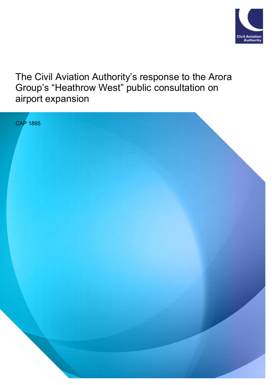

The Civil Aviation Authority's response to the Arora Group's "Heathrow West" public consultation on airport expansion

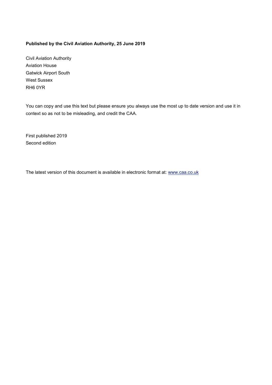#### **Published by the Civil Aviation Authority, 25 June 2019**

Civil Aviation Authority Aviation House Gatwick Airport South West Sussex RH6 0YR

You can copy and use this text but please ensure you always use the most up to date version and use it in context so as not to be misleading, and credit the CAA.

First published 2019 Second edition

The latest version of this document is available in electronic format at: www.caa.co.uk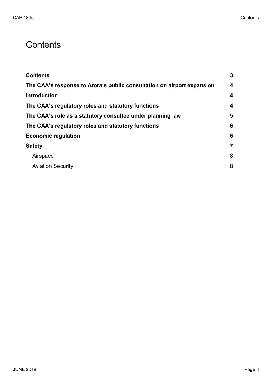# <span id="page-2-0"></span>**Contents**

| <b>Contents</b>                                                        | 3 |
|------------------------------------------------------------------------|---|
| The CAA's response to Arora's public consultation on airport expansion | 4 |
| <b>Introduction</b>                                                    | 4 |
| The CAA's regulatory roles and statutory functions                     | 4 |
| The CAA's role as a statutory consultee under planning law             | 5 |
| The CAA's regulatory roles and statutory functions                     | 6 |
| <b>Economic regulation</b>                                             | 6 |
| <b>Safety</b>                                                          |   |
| Airspace                                                               | 8 |
| <b>Aviation Security</b>                                               | 8 |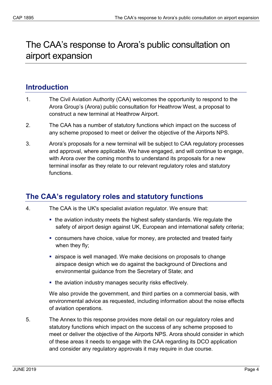# <span id="page-3-0"></span>The CAA's response to Arora's public consultation on airport expansion

## <span id="page-3-1"></span>**Introduction**

- 1. The Civil Aviation Authority (CAA) welcomes the opportunity to respond to the Arora Group's (Arora) public consultation for Heathrow West, a proposal to construct a new terminal at Heathrow Airport.
- 2. The CAA has a number of statutory functions which impact on the success of any scheme proposed to meet or deliver the objective of the Airports NPS.
- 3. Arora's proposals for a new terminal will be subject to CAA regulatory processes and approval, where applicable. We have engaged, and will continue to engage, with Arora over the coming months to understand its proposals for a new terminal insofar as they relate to our relevant regulatory roles and statutory functions.

# <span id="page-3-2"></span>**The CAA's regulatory roles and statutory functions**

- 4. The CAA is the UK's specialist aviation regulator. We ensure that:
	- the aviation industry meets the highest safety standards. We regulate the safety of airport design against UK, European and international safety criteria;
	- consumers have choice, value for money, are protected and treated fairly when they fly;
	- airspace is well managed. We make decisions on proposals to change airspace design which we do against the background of Directions and environmental guidance from the Secretary of State; and
	- the aviation industry manages security risks effectively.

We also provide the government, and third parties on a commercial basis, with environmental advice as requested, including information about the noise effects of aviation operations.

5. The Annex to this response provides more detail on our regulatory roles and statutory functions which impact on the success of any scheme proposed to meet or deliver the objective of the Airports NPS. Arora should consider in which of these areas it needs to engage with the CAA regarding its DCO application and consider any regulatory approvals it may require in due course.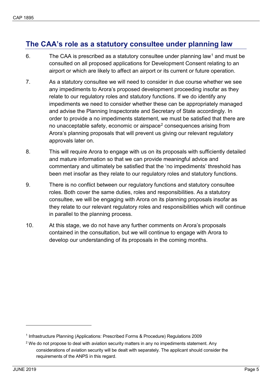## <span id="page-4-0"></span>**The CAA's role as a statutory consultee under planning law**

- 6. The CAA is prescribed as a statutory consultee under planning law<sup>[1](#page-4-1)</sup> and must be consulted on all proposed applications for Development Consent relating to an airport or which are likely to affect an airport or its current or future operation.
- 7. As a statutory consultee we will need to consider in due course whether we see any impediments to Arora's proposed development proceeding insofar as they relate to our regulatory roles and statutory functions. If we do identify any impediments we need to consider whether these can be appropriately managed and advise the Planning Inspectorate and Secretary of State accordingly. In order to provide a no impediments statement, we must be satisfied that there are no unacceptable safety, economic or airspace<sup>[2](#page-4-2)</sup> consequences arising from Arora's planning proposals that will prevent us giving our relevant regulatory approvals later on.
- 8. This will require Arora to engage with us on its proposals with sufficiently detailed and mature information so that we can provide meaningful advice and commentary and ultimately be satisfied that the 'no impediments' threshold has been met insofar as they relate to our regulatory roles and statutory functions.
- 9. There is no conflict between our regulatory functions and statutory consultee roles. Both cover the same duties, roles and responsibilities. As a statutory consultee, we will be engaging with Arora on its planning proposals insofar as they relate to our relevant regulatory roles and responsibilities which will continue in parallel to the planning process.
- 10. At this stage, we do not have any further comments on Arora's proposals contained in the consultation, but we will continue to engage with Arora to develop our understanding of its proposals in the coming months.

<u>.</u>

<span id="page-4-1"></span><sup>1</sup> Infrastructure Planning (Applications: Prescribed Forms & Procedure) Regulations 2009

<span id="page-4-2"></span> $2$  We do not propose to deal with aviation security matters in any no impediments statement. Any considerations of aviation security will be dealt with separately. The applicant should consider the requirements of the ANPS in this regard.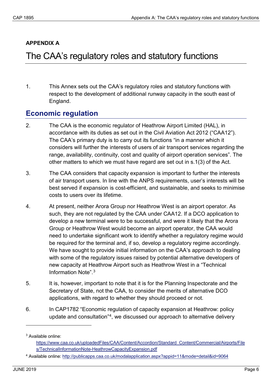#### **APPENDIX A**

# <span id="page-5-0"></span>The CAA's regulatory roles and statutory functions

1. This Annex sets out the CAA's regulatory roles and statutory functions with respect to the development of additional runway capacity in the south east of England.

### <span id="page-5-1"></span>**Economic regulation**

- 2. The CAA is the economic regulator of Heathrow Airport Limited (HAL), in accordance with its duties as set out in the Civil Aviation Act 2012 ("CAA12"). The CAA's primary duty is to carry out its functions "in a manner which it considers will further the interests of users of air transport services regarding the range, availability, continuity, cost and quality of airport operation services". The other matters to which we must have regard are set out in s.1(3) of the Act.
- 3. The CAA considers that capacity expansion is important to further the interests of air transport users. In line with the ANPS requirements, user's interests will be best served if expansion is cost-efficient, and sustainable, and seeks to minimise costs to users over its lifetime.
- 4. At present, neither Arora Group nor Heathrow West is an airport operator. As such, they are not regulated by the CAA under CAA12. If a DCO application to develop a new terminal were to be successful, and were it likely that the Arora Group or Heathrow West would become an airport operator, the CAA would need to undertake significant work to identify whether a regulatory regime would be required for the terminal and, if so, develop a regulatory regime accordingly. We have sought to provide initial information on the CAA's approach to dealing with some of the regulatory issues raised by potential alternative developers of new capacity at Heathrow Airport such as Heathrow West in a "Technical Information Note".[3](#page-5-2)
- 5. It is, however, important to note that it is for the Planning Inspectorate and the Secretary of State, not the CAA, to consider the merits of alternative DCO applications, with regard to whether they should proceed or not.
- 6. In CAP1782 "Economic regulation of capacity expansion at Heathrow: policy update and consultation"[4,](#page-5-3) we discussed our approach to alternative delivery

<u>.</u>

<span id="page-5-2"></span><sup>3</sup> Available online:

[https://www.caa.co.uk/uploadedFiles/CAA/Content/Accordion/Standard\\_Content/Commercial/Airports/File](https://www.caa.co.uk/uploadedFiles/CAA/Content/Accordion/Standard_Content/Commercial/Airports/Files/TechnicalInformationNote-HeathrowCapacityExpansion.pdf) [s/TechnicalInformationNote-HeathrowCapacityExpansion.pdf](https://www.caa.co.uk/uploadedFiles/CAA/Content/Accordion/Standard_Content/Commercial/Airports/Files/TechnicalInformationNote-HeathrowCapacityExpansion.pdf)

<span id="page-5-3"></span><sup>4</sup> Available online:<http://publicapps.caa.co.uk/modalapplication.aspx?appid=11&mode=detail&id=9064>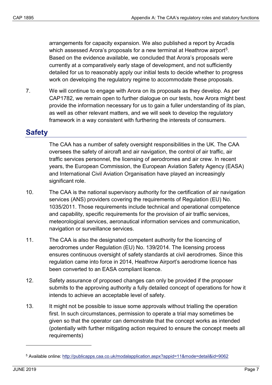arrangements for capacity expansion. We also published a report by Arcadis which assessed Arora's proposals for a new terminal at Heathrow airport<sup>[5](#page-6-1)</sup>. Based on the evidence available, we concluded that Arora's proposals were currently at a comparatively early stage of development, and not sufficiently detailed for us to reasonably apply our initial tests to decide whether to progress work on developing the regulatory regime to accommodate these proposals.

7. We will continue to engage with Arora on its proposals as they develop. As per CAP1782, we remain open to further dialogue on our tests, how Arora might best provide the information necessary for us to gain a fuller understanding of its plan, as well as other relevant matters, and we will seek to develop the regulatory framework in a way consistent with furthering the interests of consumers.

## <span id="page-6-0"></span>**Safety**

The CAA has a number of safety oversight responsibilities in the UK. The CAA oversees the safety of aircraft and air navigation, the control of air traffic, air traffic services personnel, the licensing of aerodromes and air crew. In recent years, the European Commission, the European Aviation Safety Agency (EASA) and International Civil Aviation Organisation have played an increasingly significant role.

- 10. The CAA is the national supervisory authority for the certification of air navigation services (ANS) providers covering the requirements of Regulation (EU) No. 1035/2011. Those requirements include technical and operational competence and capability, specific requirements for the provision of air traffic services, meteorological services, aeronautical information services and communication, navigation or surveillance services.
- 11. The CAA is also the designated competent authority for the licencing of aerodromes under Regulation (EU) No. 139/2014. The licensing process ensures continuous oversight of safety standards at civil aerodromes. Since this regulation came into force in 2014, Heathrow Airport's aerodrome licence has been converted to an EASA compliant licence.
- 12. Safety assurance of proposed changes can only be provided if the proposer submits to the approving authority a fully detailed concept of operations for how it intends to achieve an acceptable level of safety.
- 13. It might not be possible to issue some approvals without trialling the operation first. In such circumstances, permission to operate a trial may sometimes be given so that the operator can demonstrate that the concept works as intended (potentially with further mitigating action required to ensure the concept meets all requirements)

-

<span id="page-6-1"></span><sup>5</sup> Available online:<http://publicapps.caa.co.uk/modalapplication.aspx?appid=11&mode=detail&id=9062>